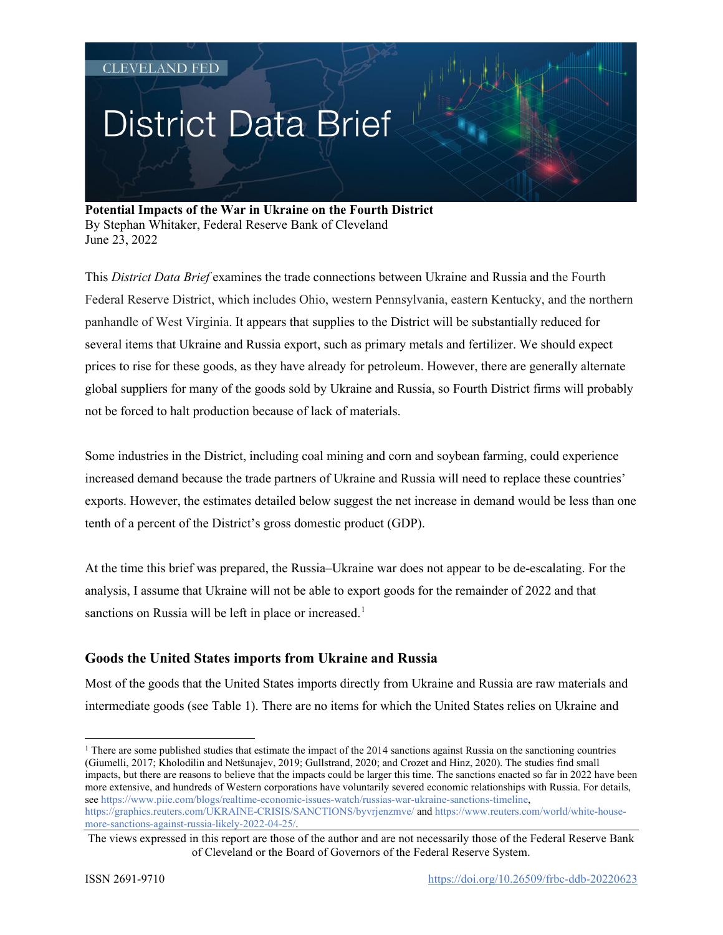# **District Data Brief**

**Potential Impacts of the War in Ukraine on the Fourth District** By Stephan Whitaker, Federal Reserve Bank of Cleveland June 23, 2022

This *District Data Brief* examines the trade connections between Ukraine and Russia and the Fourth Federal Reserve District, which includes Ohio, western Pennsylvania, eastern Kentucky, and the northern panhandle of West Virginia. It appears that supplies to the District will be substantially reduced for several items that Ukraine and Russia export, such as primary metals and fertilizer. We should expect prices to rise for these goods, as they have already for petroleum. However, there are generally alternate global suppliers for many of the goods sold by Ukraine and Russia, so Fourth District firms will probably not be forced to halt production because of lack of materials.

Some industries in the District, including coal mining and corn and soybean farming, could experience increased demand because the trade partners of Ukraine and Russia will need to replace these countries' exports. However, the estimates detailed below suggest the net increase in demand would be less than one tenth of a percent of the District's gross domestic product (GDP).

At the time this brief was prepared, the Russia–Ukraine war does not appear to be de-escalating. For the analysis, I assume that Ukraine will not be able to export goods for the remainder of 2022 and that sanctions on Russia will be left in place or increased.<sup>[1](#page-0-0)</sup>

## **Goods the United States imports from Ukraine and Russia**

Most of the goods that the United States imports directly from Ukraine and Russia are raw materials and intermediate goods (see Table 1). There are no items for which the United States relies on Ukraine and

<span id="page-0-0"></span><sup>&</sup>lt;sup>1</sup> There are some published studies that estimate the impact of the 2014 sanctions against Russia on the sanctioning countries (Giumelli, 2017; Kholodilin and Netšunajev, 2019; Gullstrand, 2020; and Crozet and Hinz, 2020). The studies find small impacts, but there are reasons to believe that the impacts could be larger this time. The sanctions enacted so far in 2022 have been more extensive, and hundreds of Western corporations have voluntarily severed economic relationships with Russia. For details, se[e https://www.piie.com/blogs/realtime-economic-issues-watch/russias-war-ukraine-sanctions-timeline,](https://www.piie.com/blogs/realtime-economic-issues-watch/russias-war-ukraine-sanctions-timeline) <https://graphics.reuters.com/UKRAINE-CRISIS/SANCTIONS/byvrjenzmve/> an[d https://www.reuters.com/world/white-house](https://www.reuters.com/world/white-house-more-sanctions-against-russia-likely-2022-04-25/)[more-sanctions-against-russia-likely-2022-04-25/.](https://www.reuters.com/world/white-house-more-sanctions-against-russia-likely-2022-04-25/) 

The views expressed in this report are those of the author and are not necessarily those of the Federal Reserve Bank of Cleveland or the Board of Governors of the Federal Reserve System.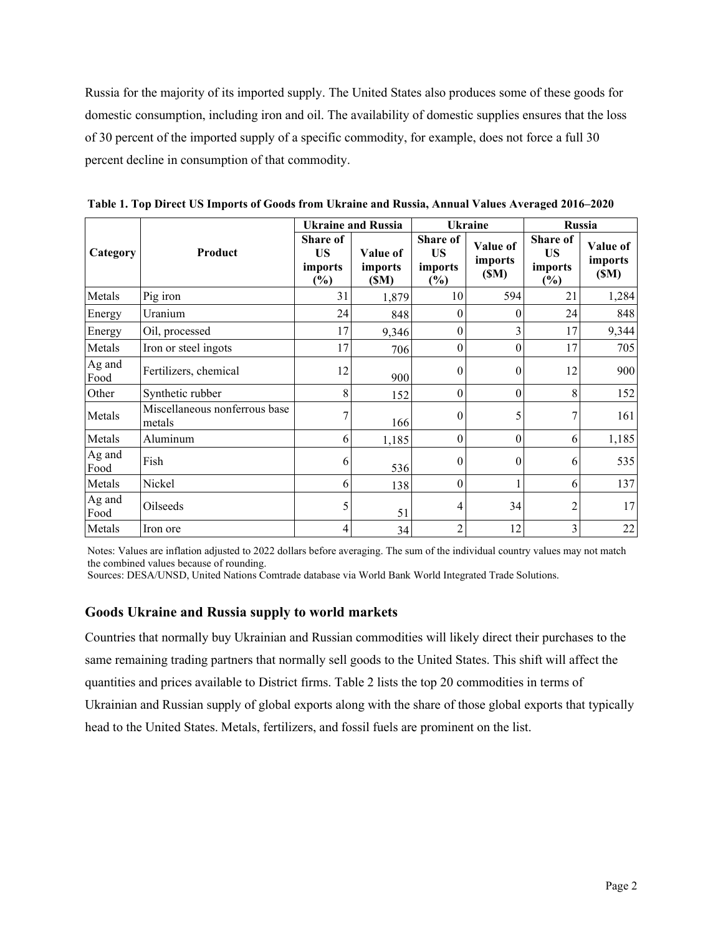Russia for the majority of its imported supply. The United States also produces some of these goods for domestic consumption, including iron and oil. The availability of domestic supplies ensures that the loss of 30 percent of the imported supply of a specific commodity, for example, does not force a full 30 percent decline in consumption of that commodity.

|                |                                         | <b>Ukraine and Russia</b>               |                             | <b>Ukraine</b>                                    |                             | <b>Russia</b>                           |                             |
|----------------|-----------------------------------------|-----------------------------------------|-----------------------------|---------------------------------------------------|-----------------------------|-----------------------------------------|-----------------------------|
| Category       | Product                                 | Share of<br><b>US</b><br>imports<br>(%) | Value of<br>imports<br>(SM) | <b>Share of</b><br><b>US</b><br>imports<br>$(\%)$ | Value of<br>imports<br>(SM) | Share of<br><b>US</b><br>imports<br>(%) | Value of<br>imports<br>(SM) |
| Metals         | Pig iron                                | 31                                      | 1,879                       | 10                                                | 594                         | 21                                      | 1,284                       |
| Energy         | Uranium                                 | 24                                      | 848                         | $\theta$                                          | $\theta$                    | 24                                      | 848                         |
| Energy         | Oil, processed                          | 17                                      | 9,346                       | $\overline{0}$                                    | 3                           | 17                                      | 9,344                       |
| Metals         | Iron or steel ingots                    | 17                                      | 706                         | $\overline{0}$                                    | $\theta$                    | 17                                      | 705                         |
| Ag and<br>Food | Fertilizers, chemical                   | 12                                      | 900                         | $\theta$                                          | $\theta$                    | 12                                      | 900                         |
| Other          | Synthetic rubber                        | 8                                       | 152                         | $\boldsymbol{0}$                                  | $\boldsymbol{0}$            | 8                                       | 152                         |
| Metals         | Miscellaneous nonferrous base<br>metals | 7                                       | 166                         | $\theta$                                          | 5                           | 7                                       | 161                         |
| Metals         | Aluminum                                | 6                                       | 1,185                       | $\boldsymbol{0}$                                  | $\boldsymbol{0}$            | 6                                       | 1,185                       |
| Ag and<br>Food | Fish                                    | 6                                       | 536                         | $\boldsymbol{0}$                                  | $\theta$                    | 6                                       | 535                         |
| Metals         | Nickel                                  | 6                                       | 138                         | $\theta$                                          |                             | 6                                       | 137                         |
| Ag and<br>Food | Oilseeds                                | 5                                       | 51                          | 4                                                 | 34                          | 2                                       | 17                          |
| Metals         | Iron ore                                | 4                                       | 34                          | $\overline{c}$                                    | 12                          | 3                                       | 22                          |

**Table 1. Top Direct US Imports of Goods from Ukraine and Russia, Annual Values Averaged 2016–2020**

Notes: Values are inflation adjusted to 2022 dollars before averaging. The sum of the individual country values may not match the combined values because of rounding.

Sources: DESA/UNSD, United Nations Comtrade database via World Bank World Integrated Trade Solutions.

### **Goods Ukraine and Russia supply to world markets**

Countries that normally buy Ukrainian and Russian commodities will likely direct their purchases to the same remaining trading partners that normally sell goods to the United States. This shift will affect the quantities and prices available to District firms. Table 2 lists the top 20 commodities in terms of Ukrainian and Russian supply of global exports along with the share of those global exports that typically head to the United States. Metals, fertilizers, and fossil fuels are prominent on the list.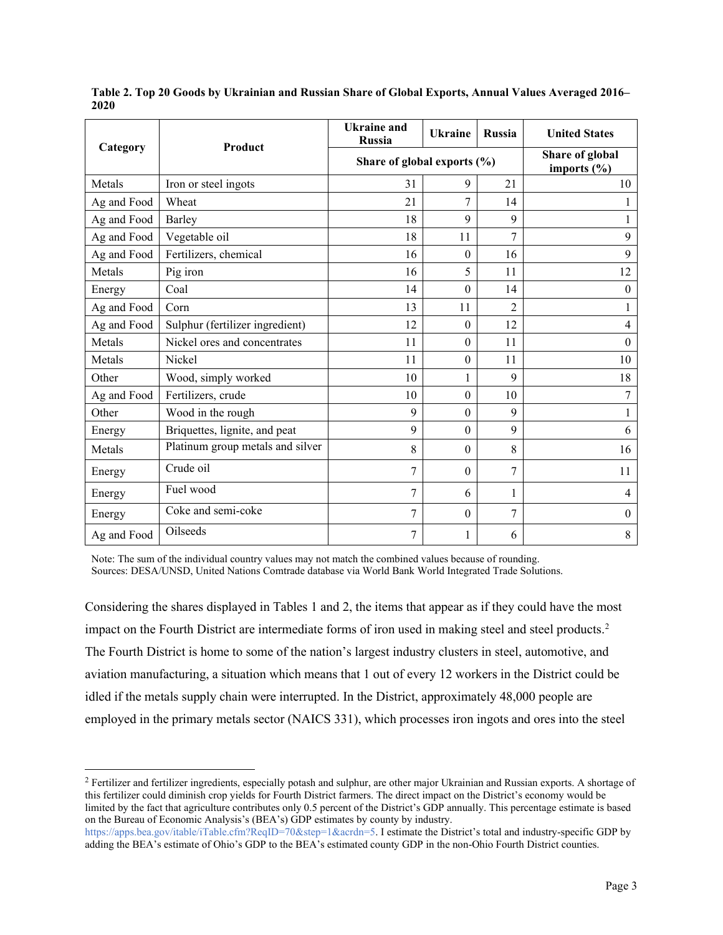|             |                                  | <b>Ukraine</b> and<br><b>Russia</b> | <b>Ukraine</b>                     | <b>Russia</b> | <b>United States</b> |
|-------------|----------------------------------|-------------------------------------|------------------------------------|---------------|----------------------|
| Category    | Product                          | Share of global exports (%)         | Share of global<br>imports $(\% )$ |               |                      |
| Metals      | Iron or steel ingots             | 31                                  | 9                                  | 21            | 10                   |
| Ag and Food | Wheat                            | 21                                  | 7                                  | 14            |                      |
| Ag and Food | Barley                           | 18                                  | 9                                  | 9             | $\mathbf{1}$         |
| Ag and Food | Vegetable oil                    | 18                                  | 11                                 | 7             | 9                    |
| Ag and Food | Fertilizers, chemical            | 16                                  | $\boldsymbol{0}$                   | 16            | 9                    |
| Metals      | Pig iron                         | 16                                  | 5                                  | 11            | 12                   |
| Energy      | Coal                             | 14                                  | $\boldsymbol{0}$                   | 14            | $\boldsymbol{0}$     |
| Ag and Food | Corn                             | 13                                  | 11                                 | 2             |                      |
| Ag and Food | Sulphur (fertilizer ingredient)  | 12                                  | $\boldsymbol{0}$                   | 12            | 4                    |
| Metals      | Nickel ores and concentrates     | 11                                  | $\theta$                           | 11            | $\theta$             |
| Metals      | Nickel                           | 11                                  | $\theta$                           | 11            | 10                   |
| Other       | Wood, simply worked              | 10                                  | 1                                  | 9             | 18                   |
| Ag and Food | Fertilizers, crude               | 10                                  | $\theta$                           | 10            | 7                    |
| Other       | Wood in the rough                | 9                                   | $\theta$                           | 9             | $\mathbf{1}$         |
| Energy      | Briquettes, lignite, and peat    | 9                                   | $\theta$                           | 9             | 6                    |
| Metals      | Platinum group metals and silver | 8                                   | $\theta$                           | 8             | 16                   |
| Energy      | Crude oil                        | 7                                   | $\theta$                           | 7             | 11                   |
| Energy      | Fuel wood                        | 7                                   | 6                                  | 1             | 4                    |
| Energy      | Coke and semi-coke               | 7                                   | $\theta$                           | 7             | $\mathbf{0}$         |
| Ag and Food | Oilseeds                         | 7                                   | 1                                  | 6             | 8                    |

**Table 2. Top 20 Goods by Ukrainian and Russian Share of Global Exports, Annual Values Averaged 2016– 2020**

Note: The sum of the individual country values may not match the combined values because of rounding. Sources: DESA/UNSD, United Nations Comtrade database via World Bank World Integrated Trade Solutions.

Considering the shares displayed in Tables 1 and 2, the items that appear as if they could have the most impact on the Fourth District are intermediate forms of iron used in making steel and steel products.<sup>[2](#page-2-0)</sup> The Fourth District is home to some of the nation's largest industry clusters in steel, automotive, and aviation manufacturing, a situation which means that 1 out of every 12 workers in the District could be idled if the metals supply chain were interrupted. In the District, approximately 48,000 people are employed in the primary metals sector (NAICS 331), which processes iron ingots and ores into the steel

<span id="page-2-0"></span><sup>&</sup>lt;sup>2</sup> Fertilizer and fertilizer ingredients, especially potash and sulphur, are other major Ukrainian and Russian exports. A shortage of this fertilizer could diminish crop yields for Fourth District farmers. The direct impact on the District's economy would be limited by the fact that agriculture contributes only 0.5 percent of the District's GDP annually. This percentage estimate is based on the Bureau of Economic Analysis's (BEA's) GDP estimates by county by industry.

[https://apps.bea.gov/itable/iTable.cfm?ReqID=70&step=1&acrdn=5.](https://apps.bea.gov/itable/iTable.cfm?ReqID=70&step=1&acrdn=5) I estimate the District's total and industry-specific GDP by adding the BEA's estimate of Ohio's GDP to the BEA's estimated county GDP in the non-Ohio Fourth District counties.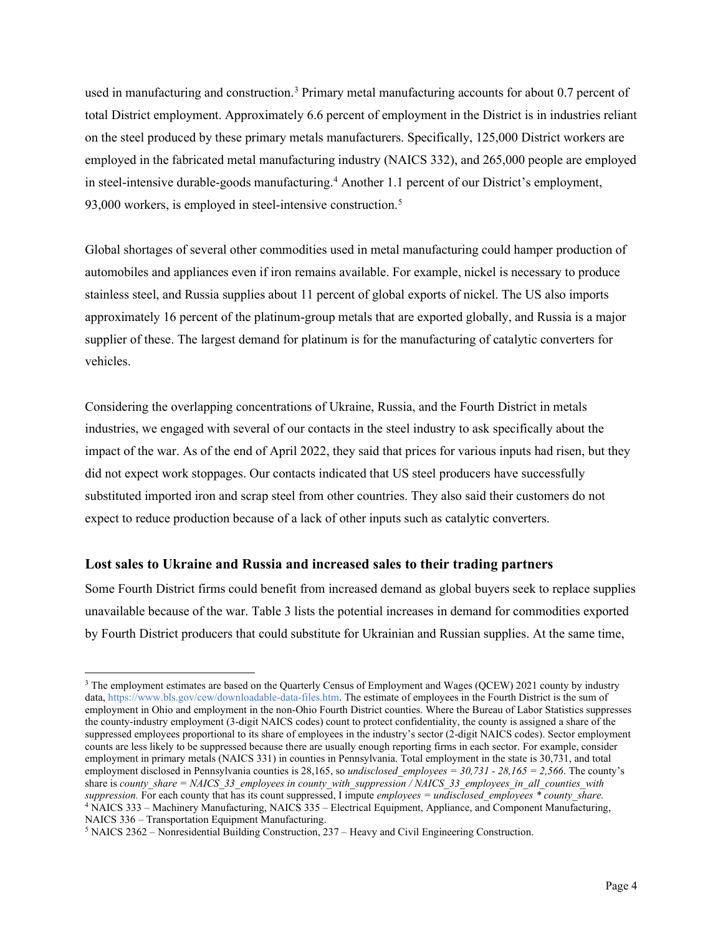used in manufacturing and construction.<sup>[3](#page-3-0)</sup> Primary metal manufacturing accounts for about 0.7 percent of total District employment. Approximately 6.6 percent of employment in the District is in industries reliant on the steel produced by these primary metals manufacturers. Specifically, 125,000 District workers are employed in the fabricated metal manufacturing industry (NAICS 332), and 265,000 people are employed in steel-intensive durable-goods manufacturing.[4](#page-3-1) Another 1.1 percent of our District's employment, 93,000 workers, is employed in steel-intensive construction. $5$ 

Global shortages of several other commodities used in metal manufacturing could hamper production of automobiles and appliances even if iron remains available. For example, nickel is necessary to produce stainless steel, and Russia supplies about 11 percent of global exports of nickel. The US also imports approximately 16 percent of the platinum-group metals that are exported globally, and Russia is a major supplier of these. The largest demand for platinum is for the manufacturing of catalytic converters for vehicles.

Considering the overlapping concentrations of Ukraine, Russia, and the Fourth District in metals industries, we engaged with several of our contacts in the steel industry to ask specifically about the impact of the war. As of the end of April 2022, they said that prices for various inputs had risen, but they did not expect work stoppages. Our contacts indicated that US steel producers have successfully substituted imported iron and scrap steel from other countries. They also said their customers do not expect to reduce production because of a lack of other inputs such as catalytic converters.

### **Lost sales to Ukraine and Russia and increased sales to their trading partners**

Some Fourth District firms could benefit from increased demand as global buyers seek to replace supplies unavailable because of the war. Table 3 lists the potential increases in demand for commodities exported by Fourth District producers that could substitute for Ukrainian and Russian supplies. At the same time,

<span id="page-3-0"></span><sup>&</sup>lt;sup>3</sup> The employment estimates are based on the Quarterly Census of Employment and Wages (QCEW) 2021 county by industry data[, https://www.bls.gov/cew/downloadable-data-files.htm.](https://www.bls.gov/cew/downloadable-data-files.htm) The estimate of employees in the Fourth District is the sum of employment in Ohio and employment in the non-Ohio Fourth District counties. Where the Bureau of Labor Statistics suppresses the county-industry employment (3-digit NAICS codes) count to protect confidentiality, the county is assigned a share of the suppressed employees proportional to its share of employees in the industry's sector (2-digit NAICS codes). Sector employment counts are less likely to be suppressed because there are usually enough reporting firms in each sector. For example, consider employment in primary metals (NAICS 331) in counties in Pennsylvania. Total employment in the state is 30,731, and total employment disclosed in Pennsylvania counties is 28,165, so *undisclosed\_employees = 30,731 - 28,165 = 2,566*. The county's share is *county\_share = NAICS\_33\_employees in county\_with\_suppression / NAICS\_33\_employees\_in\_all\_counties\_with suppression.* For each county that has its count suppressed, I impute *employees = undisclosed\_employees \* county\_share.* <sup>4</sup> NAICS 333 – Machinery Manufacturing, NAICS 335 – Electrical Equipment, Appliance, and Component Manufacturing, NAICS 336 – Transportation Equipment Manufacturing.

<span id="page-3-2"></span><span id="page-3-1"></span><sup>5</sup> NAICS 2362 – Nonresidential Building Construction, 237 – Heavy and Civil Engineering Construction.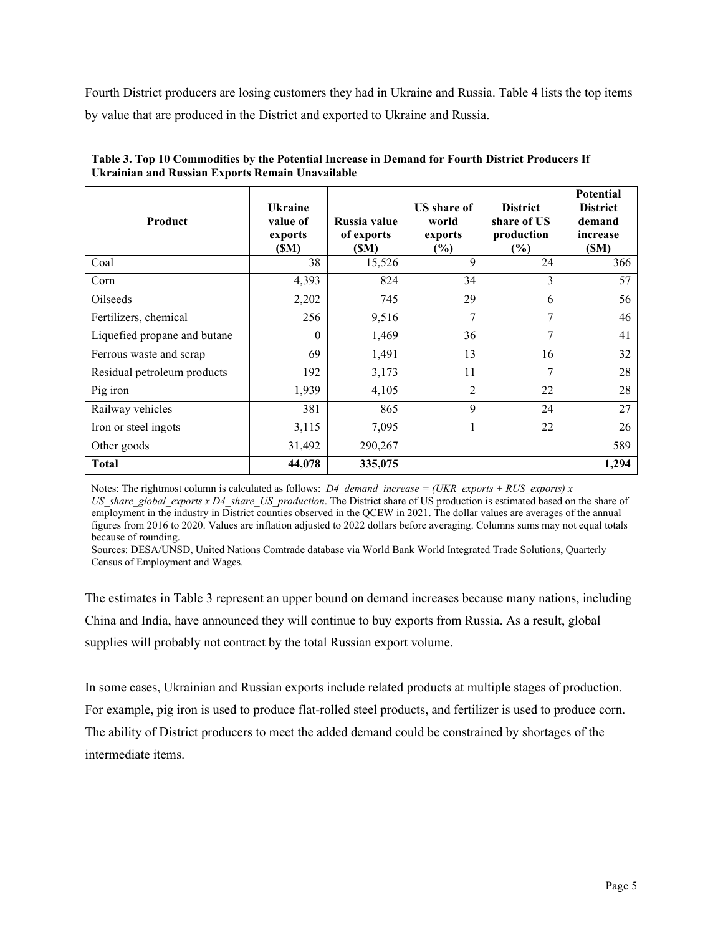Fourth District producers are losing customers they had in Ukraine and Russia. Table 4 lists the top items by value that are produced in the District and exported to Ukraine and Russia.

| Product                      | <b>Ukraine</b><br>value of<br>exports<br>(SM) | Russia value<br>of exports<br>(\$M) | <b>US</b> share of<br>world<br>exports<br>$(\%)$ | <b>District</b><br>share of US<br>production<br>$(\%)$ | <b>Potential</b><br><b>District</b><br>demand<br>increase<br>(SM) |
|------------------------------|-----------------------------------------------|-------------------------------------|--------------------------------------------------|--------------------------------------------------------|-------------------------------------------------------------------|
| Coal                         | 38                                            | 15,526                              | 9                                                | 24                                                     | 366                                                               |
| Corn                         | 4,393                                         | 824                                 | 34                                               | 3                                                      | 57                                                                |
| Oilseeds                     | 2,202                                         | 745                                 | 29                                               | 6                                                      | 56                                                                |
| Fertilizers, chemical        | 256                                           | 9,516                               | 7                                                | $\overline{7}$                                         | 46                                                                |
| Liquefied propane and butane | $\theta$                                      | 1,469                               | 36                                               | $\overline{7}$                                         | 41                                                                |
| Ferrous waste and scrap      | 69                                            | 1,491                               | 13                                               | 16                                                     | 32                                                                |
| Residual petroleum products  | 192                                           | 3,173                               | 11                                               | $\overline{7}$                                         | 28                                                                |
| Pig iron                     | 1,939                                         | 4,105                               | $\overline{2}$                                   | 22                                                     | 28                                                                |
| Railway vehicles             | 381                                           | 865                                 | 9                                                | 24                                                     | 27                                                                |
| Iron or steel ingots         | 3,115                                         | 7,095                               | 1                                                | 22                                                     | 26                                                                |
| Other goods                  | 31,492                                        | 290,267                             |                                                  |                                                        | 589                                                               |
| <b>Total</b>                 | 44,078                                        | 335,075                             |                                                  |                                                        | 1,294                                                             |

**Table 3. Top 10 Commodities by the Potential Increase in Demand for Fourth District Producers If Ukrainian and Russian Exports Remain Unavailable**

Notes: The rightmost column is calculated as follows: *D4\_demand\_increase = (UKR\_exports + RUS\_exports) x US\_share\_global\_exports x D4\_share\_US\_production*. The District share of US production is estimated based on the share of employment in the industry in District counties observed in the QCEW in 2021. The dollar values are averages of the annual figures from 2016 to 2020. Values are inflation adjusted to 2022 dollars before averaging. Columns sums may not equal totals because of rounding.

Sources: DESA/UNSD, United Nations Comtrade database via World Bank World Integrated Trade Solutions, Quarterly Census of Employment and Wages.

The estimates in Table 3 represent an upper bound on demand increases because many nations, including China and India, have announced they will continue to buy exports from Russia. As a result, global supplies will probably not contract by the total Russian export volume.

In some cases, Ukrainian and Russian exports include related products at multiple stages of production. For example, pig iron is used to produce flat-rolled steel products, and fertilizer is used to produce corn. The ability of District producers to meet the added demand could be constrained by shortages of the intermediate items.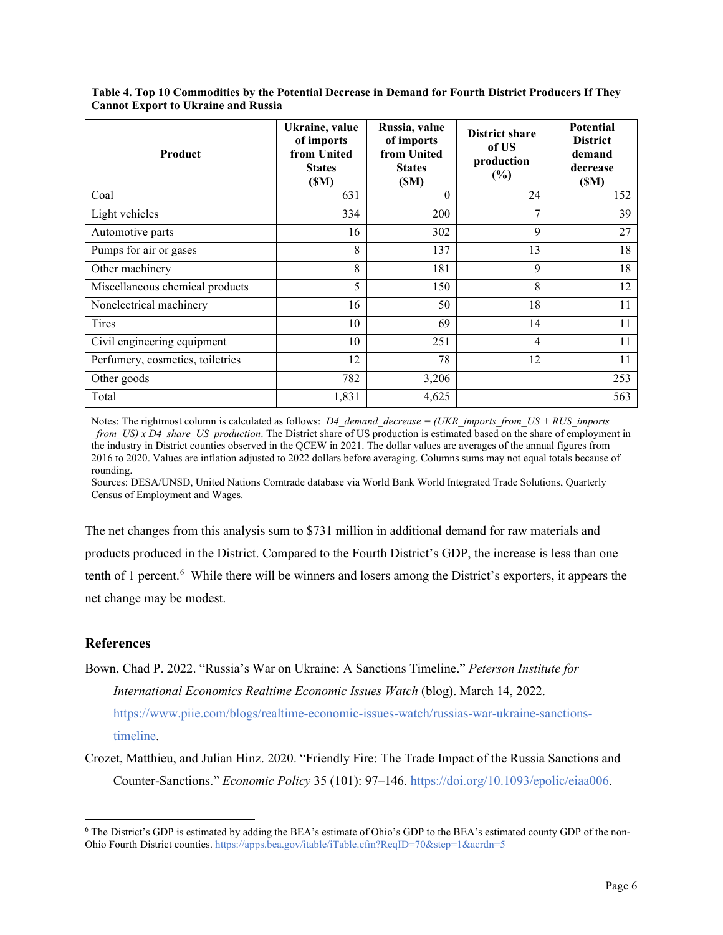| Product                          | Ukraine, value<br>of imports<br>from United<br><b>States</b><br>(SM) | Russia, value<br>of imports<br>from United<br><b>States</b><br>(SM) | <b>District share</b><br>of US<br>production<br>$(\%)$ | <b>Potential</b><br><b>District</b><br>demand<br>decrease<br>(SM) |
|----------------------------------|----------------------------------------------------------------------|---------------------------------------------------------------------|--------------------------------------------------------|-------------------------------------------------------------------|
| Coal                             | 631                                                                  | $\theta$                                                            | 24                                                     | 152                                                               |
| Light vehicles                   | 334                                                                  | 200                                                                 | 7                                                      | 39                                                                |
| Automotive parts                 | 16                                                                   | 302                                                                 | 9                                                      | 27                                                                |
| Pumps for air or gases           | 8                                                                    | 137                                                                 | 13                                                     | 18                                                                |
| Other machinery                  | 8                                                                    | 181                                                                 | 9                                                      | 18                                                                |
| Miscellaneous chemical products  | 5                                                                    | 150                                                                 | 8                                                      | 12                                                                |
| Nonelectrical machinery          | 16                                                                   | 50                                                                  | 18                                                     | 11                                                                |
| Tires                            | 10                                                                   | 69                                                                  | 14                                                     | 11                                                                |
| Civil engineering equipment      | 10                                                                   | 251                                                                 | $\overline{4}$                                         | 11                                                                |
| Perfumery, cosmetics, toiletries | 12                                                                   | 78                                                                  | 12                                                     | 11                                                                |
| Other goods                      | 782                                                                  | 3,206                                                               |                                                        | 253                                                               |
| Total                            | 1,831                                                                | 4,625                                                               |                                                        | 563                                                               |

**Table 4. Top 10 Commodities by the Potential Decrease in Demand for Fourth District Producers If They Cannot Export to Ukraine and Russia**

Notes: The rightmost column is calculated as follows: *D4\_demand\_decrease = (UKR\_imports\_from\_US + RUS\_imports \_from\_US) x D4\_share\_US\_production*. The District share of US production is estimated based on the share of employment in the industry in District counties observed in the QCEW in 2021. The dollar values are averages of the annual figures from 2016 to 2020. Values are inflation adjusted to 2022 dollars before averaging. Columns sums may not equal totals because of rounding.

Sources: DESA/UNSD, United Nations Comtrade database via World Bank World Integrated Trade Solutions, Quarterly Census of Employment and Wages.

The net changes from this analysis sum to \$731 million in additional demand for raw materials and products produced in the District. Compared to the Fourth District's GDP, the increase is less than one tenth of 1 percent.<sup>[6](#page-5-0)</sup> While there will be winners and losers among the District's exporters, it appears the net change may be modest.

## **References**

- Bown, Chad P. 2022. "Russia's War on Ukraine: A Sanctions Timeline." *Peterson Institute for International Economics Realtime Economic Issues Watch* (blog). March 14, 2022. [https://www.piie.com/blogs/realtime-economic-issues-watch/russias-war-ukraine-sanctions](https://www.piie.com/blogs/realtime-economic-issues-watch/russias-war-ukraine-sanctions-timeline)[timeline.](https://www.piie.com/blogs/realtime-economic-issues-watch/russias-war-ukraine-sanctions-timeline)
- Crozet, Matthieu, and Julian Hinz. 2020. "Friendly Fire: The Trade Impact of the Russia Sanctions and Counter-Sanctions." *Economic Policy* 35 (101): 97–146. [https://doi.org/10.1093/epolic/eiaa006.](https://doi.org/10.1093/epolic/eiaa006)

<span id="page-5-0"></span><sup>6</sup> The District's GDP is estimated by adding the BEA's estimate of Ohio's GDP to the BEA's estimated county GDP of the non-Ohio Fourth District counties[. https://apps.bea.gov/itable/iTable.cfm?ReqID=70&step=1&acrdn=5](https://apps.bea.gov/itable/iTable.cfm?ReqID=70&step=1&acrdn=5)